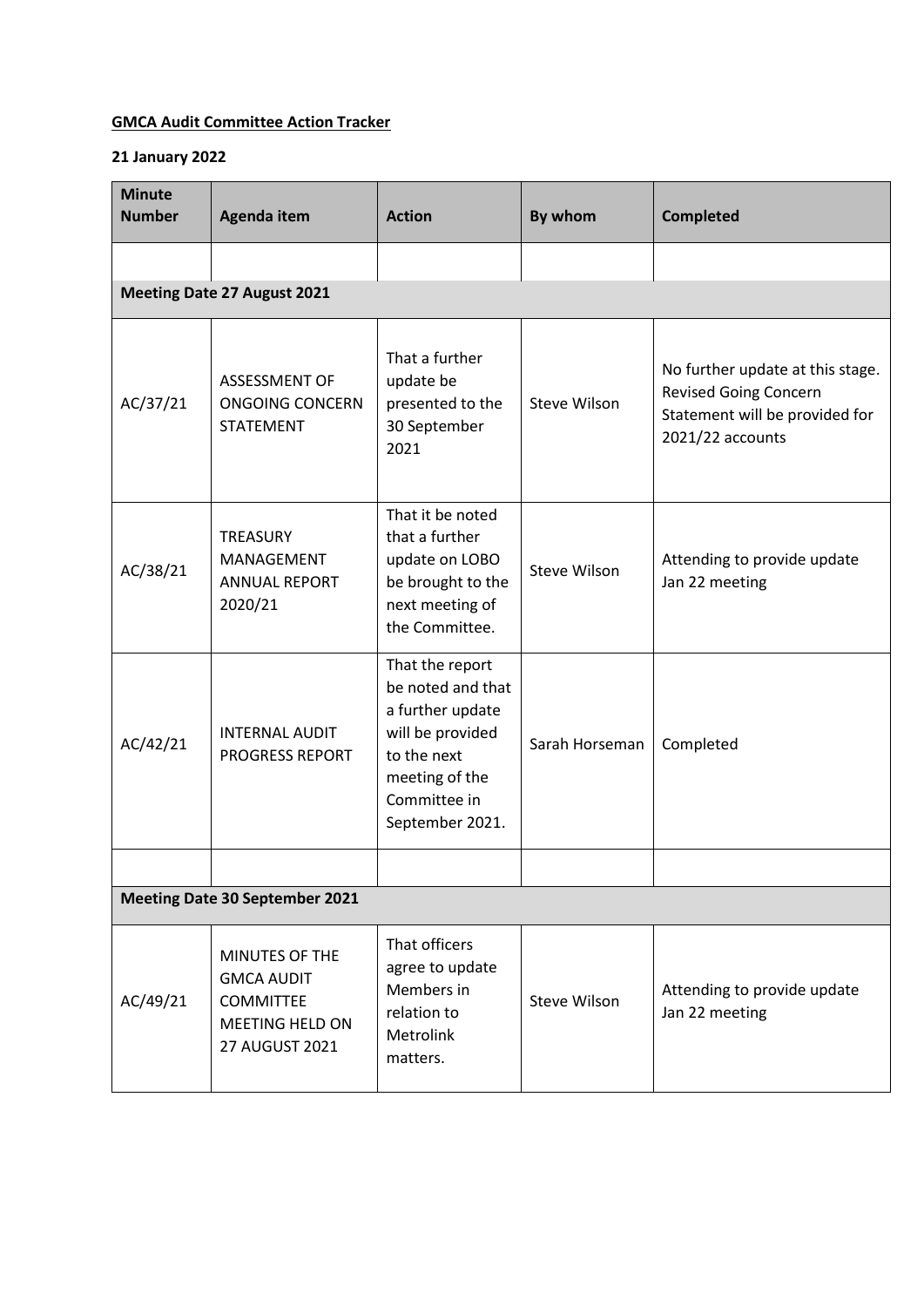## **GMCA Audit Committee Action Tracker**

## **21 January 2022**

| <b>Minute</b><br><b>Number</b>        | <b>Agenda item</b>                                                                                  | <b>Action</b>                                                                                                                                    | By whom             | <b>Completed</b>                                                                                                       |
|---------------------------------------|-----------------------------------------------------------------------------------------------------|--------------------------------------------------------------------------------------------------------------------------------------------------|---------------------|------------------------------------------------------------------------------------------------------------------------|
|                                       |                                                                                                     |                                                                                                                                                  |                     |                                                                                                                        |
|                                       | <b>Meeting Date 27 August 2021</b>                                                                  |                                                                                                                                                  |                     |                                                                                                                        |
| AC/37/21                              | <b>ASSESSMENT OF</b><br><b>ONGOING CONCERN</b><br><b>STATEMENT</b>                                  | That a further<br>update be<br>presented to the<br>30 September<br>2021                                                                          | Steve Wilson        | No further update at this stage.<br><b>Revised Going Concern</b><br>Statement will be provided for<br>2021/22 accounts |
| AC/38/21                              | <b>TREASURY</b><br>MANAGEMENT<br><b>ANNUAL REPORT</b><br>2020/21                                    | That it be noted<br>that a further<br>update on LOBO<br>be brought to the<br>next meeting of<br>the Committee.                                   | <b>Steve Wilson</b> | Attending to provide update<br>Jan 22 meeting                                                                          |
| AC/42/21                              | <b>INTERNAL AUDIT</b><br><b>PROGRESS REPORT</b>                                                     | That the report<br>be noted and that<br>a further update<br>will be provided<br>to the next<br>meeting of the<br>Committee in<br>September 2021. | Sarah Horseman      | Completed                                                                                                              |
|                                       |                                                                                                     |                                                                                                                                                  |                     |                                                                                                                        |
| <b>Meeting Date 30 September 2021</b> |                                                                                                     |                                                                                                                                                  |                     |                                                                                                                        |
| AC/49/21                              | MINUTES OF THE<br><b>GMCA AUDIT</b><br><b>COMMITTEE</b><br><b>MEETING HELD ON</b><br>27 AUGUST 2021 | That officers<br>agree to update<br>Members in<br>relation to<br>Metrolink<br>matters.                                                           | <b>Steve Wilson</b> | Attending to provide update<br>Jan 22 meeting                                                                          |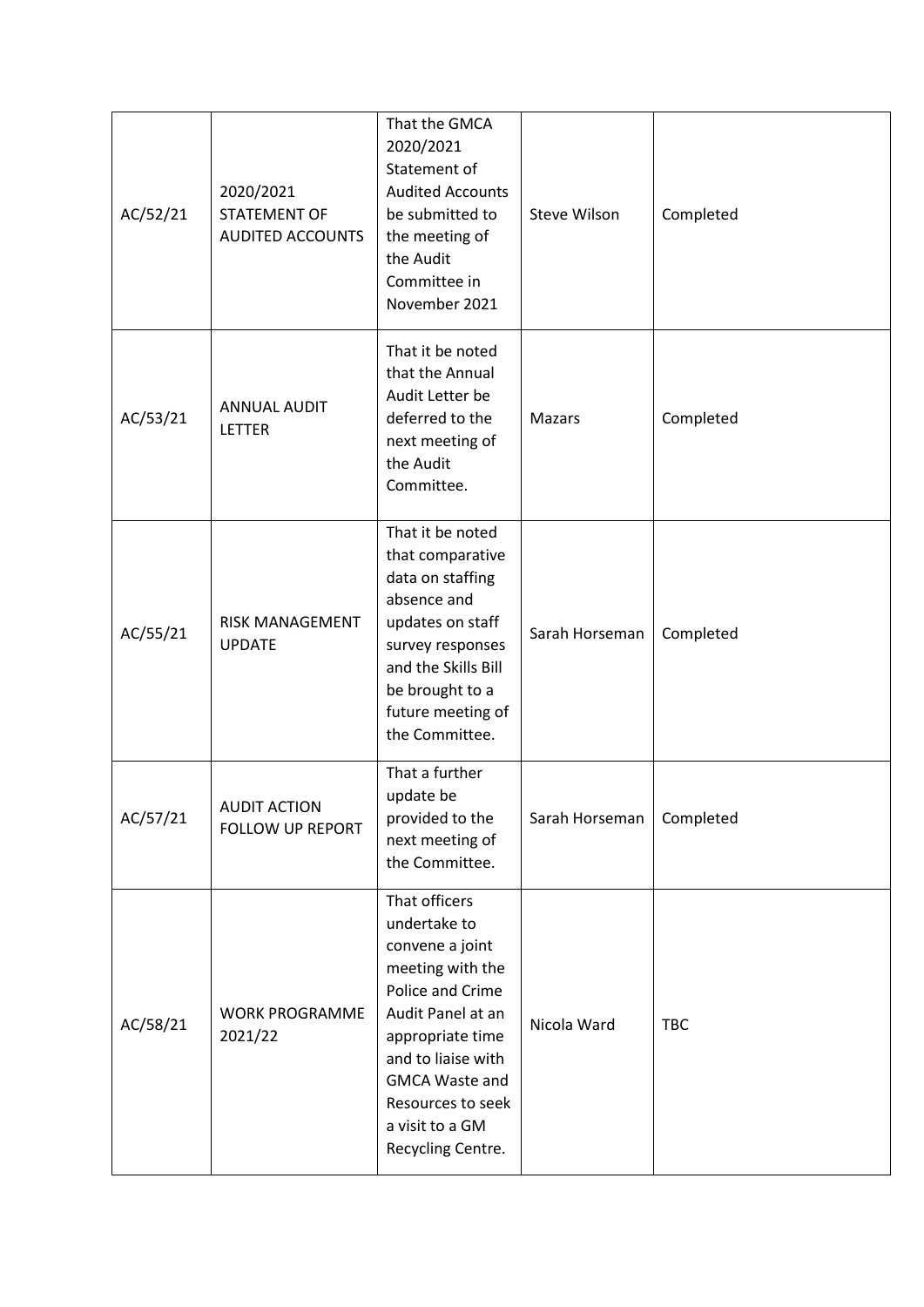| AC/52/21 | 2020/2021<br>STATEMENT OF<br>AUDITED ACCOUNTS | That the GMCA<br>2020/2021<br>Statement of<br><b>Audited Accounts</b><br>be submitted to<br>the meeting of<br>the Audit<br>Committee in<br>November 2021                                                                                      | <b>Steve Wilson</b> | Completed  |
|----------|-----------------------------------------------|-----------------------------------------------------------------------------------------------------------------------------------------------------------------------------------------------------------------------------------------------|---------------------|------------|
| AC/53/21 | <b>ANNUAL AUDIT</b><br>LETTER                 | That it be noted<br>that the Annual<br>Audit Letter be<br>deferred to the<br>next meeting of<br>the Audit<br>Committee.                                                                                                                       | <b>Mazars</b>       | Completed  |
| AC/55/21 | RISK MANAGEMENT<br><b>UPDATE</b>              | That it be noted<br>that comparative<br>data on staffing<br>absence and<br>updates on staff<br>survey responses<br>and the Skills Bill<br>be brought to a<br>future meeting of<br>the Committee.                                              | Sarah Horseman      | Completed  |
| AC/57/21 | <b>AUDIT ACTION</b><br>FOLLOW UP REPORT       | That a further<br>update be<br>provided to the<br>next meeting of<br>the Committee.                                                                                                                                                           | Sarah Horseman      | Completed  |
| AC/58/21 | <b>WORK PROGRAMME</b><br>2021/22              | That officers<br>undertake to<br>convene a joint<br>meeting with the<br>Police and Crime<br>Audit Panel at an<br>appropriate time<br>and to liaise with<br><b>GMCA Waste and</b><br>Resources to seek<br>a visit to a GM<br>Recycling Centre. | Nicola Ward         | <b>TBC</b> |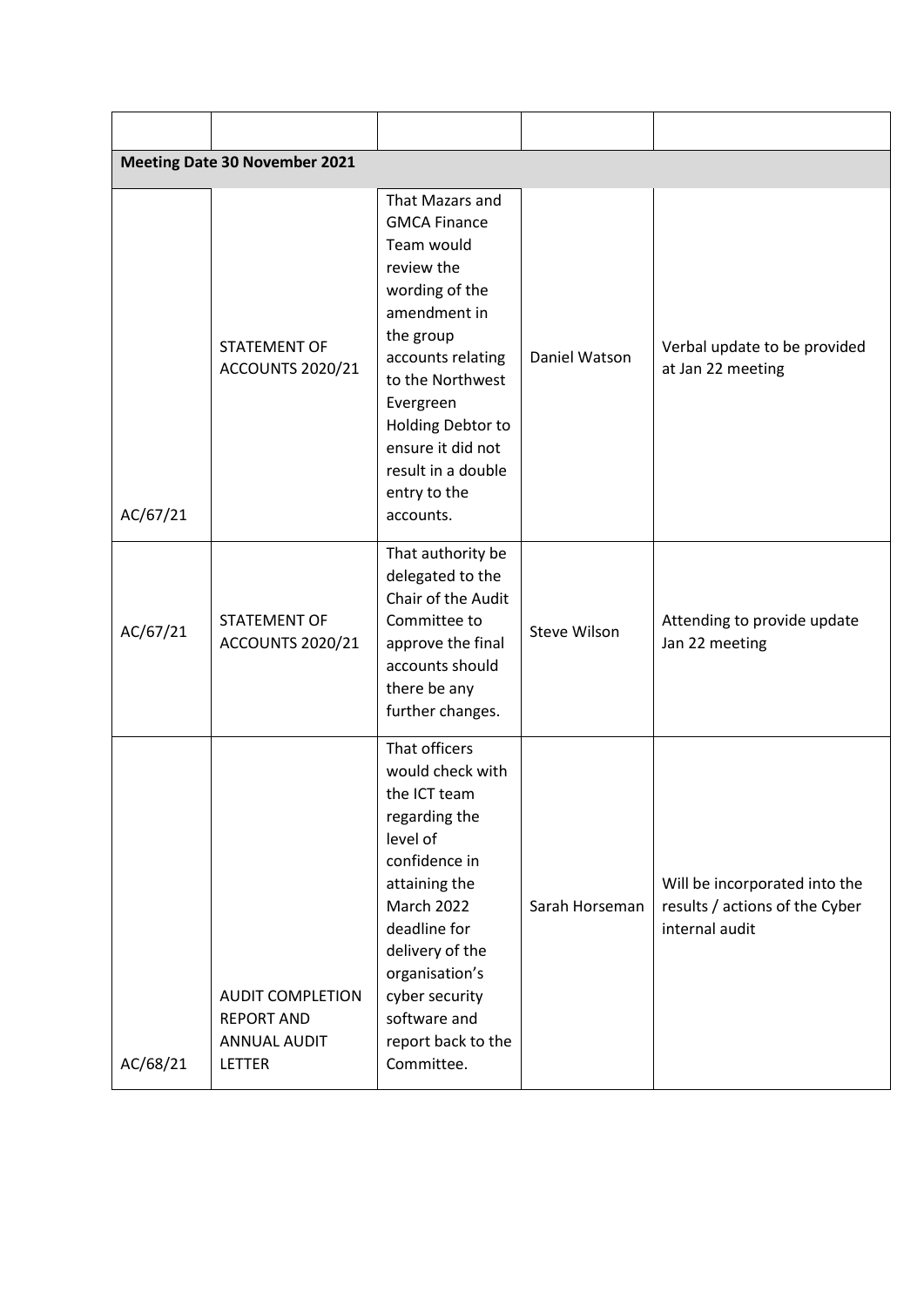|          | <b>Meeting Date 30 November 2021</b>                                                 |                                                                                                                                                                                                                                                                      |                     |                                                                                   |  |
|----------|--------------------------------------------------------------------------------------|----------------------------------------------------------------------------------------------------------------------------------------------------------------------------------------------------------------------------------------------------------------------|---------------------|-----------------------------------------------------------------------------------|--|
| AC/67/21 | <b>STATEMENT OF</b><br>ACCOUNTS 2020/21                                              | That Mazars and<br><b>GMCA Finance</b><br>Team would<br>review the<br>wording of the<br>amendment in<br>the group<br>accounts relating<br>to the Northwest<br>Evergreen<br>Holding Debtor to<br>ensure it did not<br>result in a double<br>entry to the<br>accounts. | Daniel Watson       | Verbal update to be provided<br>at Jan 22 meeting                                 |  |
| AC/67/21 | <b>STATEMENT OF</b><br><b>ACCOUNTS 2020/21</b>                                       | That authority be<br>delegated to the<br>Chair of the Audit<br>Committee to<br>approve the final<br>accounts should<br>there be any<br>further changes.                                                                                                              | <b>Steve Wilson</b> | Attending to provide update<br>Jan 22 meeting                                     |  |
| AC/68/21 | <b>AUDIT COMPLETION</b><br><b>REPORT AND</b><br><b>ANNUAL AUDIT</b><br><b>LETTER</b> | That officers<br>would check with<br>the ICT team<br>regarding the<br>level of<br>confidence in<br>attaining the<br><b>March 2022</b><br>deadline for<br>delivery of the<br>organisation's<br>cyber security<br>software and<br>report back to the<br>Committee.     | Sarah Horseman      | Will be incorporated into the<br>results / actions of the Cyber<br>internal audit |  |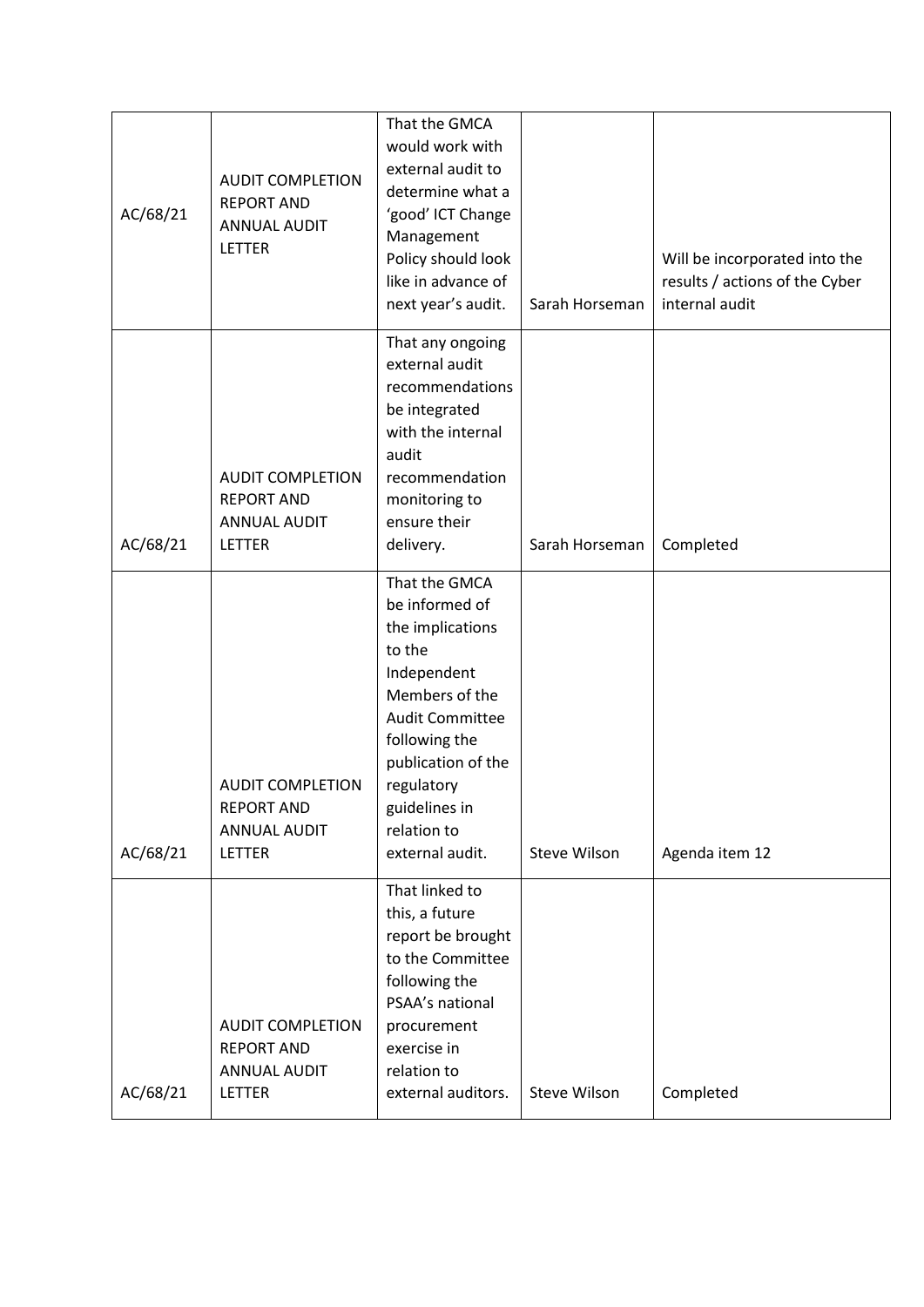| AC/68/21 | <b>AUDIT COMPLETION</b><br><b>REPORT AND</b><br><b>ANNUAL AUDIT</b><br><b>LETTER</b> | That the GMCA<br>would work with<br>external audit to<br>determine what a<br>'good' ICT Change<br>Management<br>Policy should look<br>like in advance of<br>next year's audit.                                                   | Sarah Horseman      | Will be incorporated into the<br>results / actions of the Cyber<br>internal audit |
|----------|--------------------------------------------------------------------------------------|----------------------------------------------------------------------------------------------------------------------------------------------------------------------------------------------------------------------------------|---------------------|-----------------------------------------------------------------------------------|
| AC/68/21 | <b>AUDIT COMPLETION</b><br><b>REPORT AND</b><br><b>ANNUAL AUDIT</b><br><b>LETTER</b> | That any ongoing<br>external audit<br>recommendations<br>be integrated<br>with the internal<br>audit<br>recommendation<br>monitoring to<br>ensure their<br>delivery.                                                             | Sarah Horseman      | Completed                                                                         |
| AC/68/21 | <b>AUDIT COMPLETION</b><br><b>REPORT AND</b><br><b>ANNUAL AUDIT</b><br>LETTER        | That the GMCA<br>be informed of<br>the implications<br>to the<br>Independent<br>Members of the<br><b>Audit Committee</b><br>following the<br>publication of the<br>regulatory<br>guidelines in<br>relation to<br>external audit. | Steve Wilson        | Agenda item 12                                                                    |
| AC/68/21 | <b>AUDIT COMPLETION</b><br><b>REPORT AND</b><br><b>ANNUAL AUDIT</b><br>LETTER        | That linked to<br>this, a future<br>report be brought<br>to the Committee<br>following the<br>PSAA's national<br>procurement<br>exercise in<br>relation to<br>external auditors.                                                 | <b>Steve Wilson</b> | Completed                                                                         |